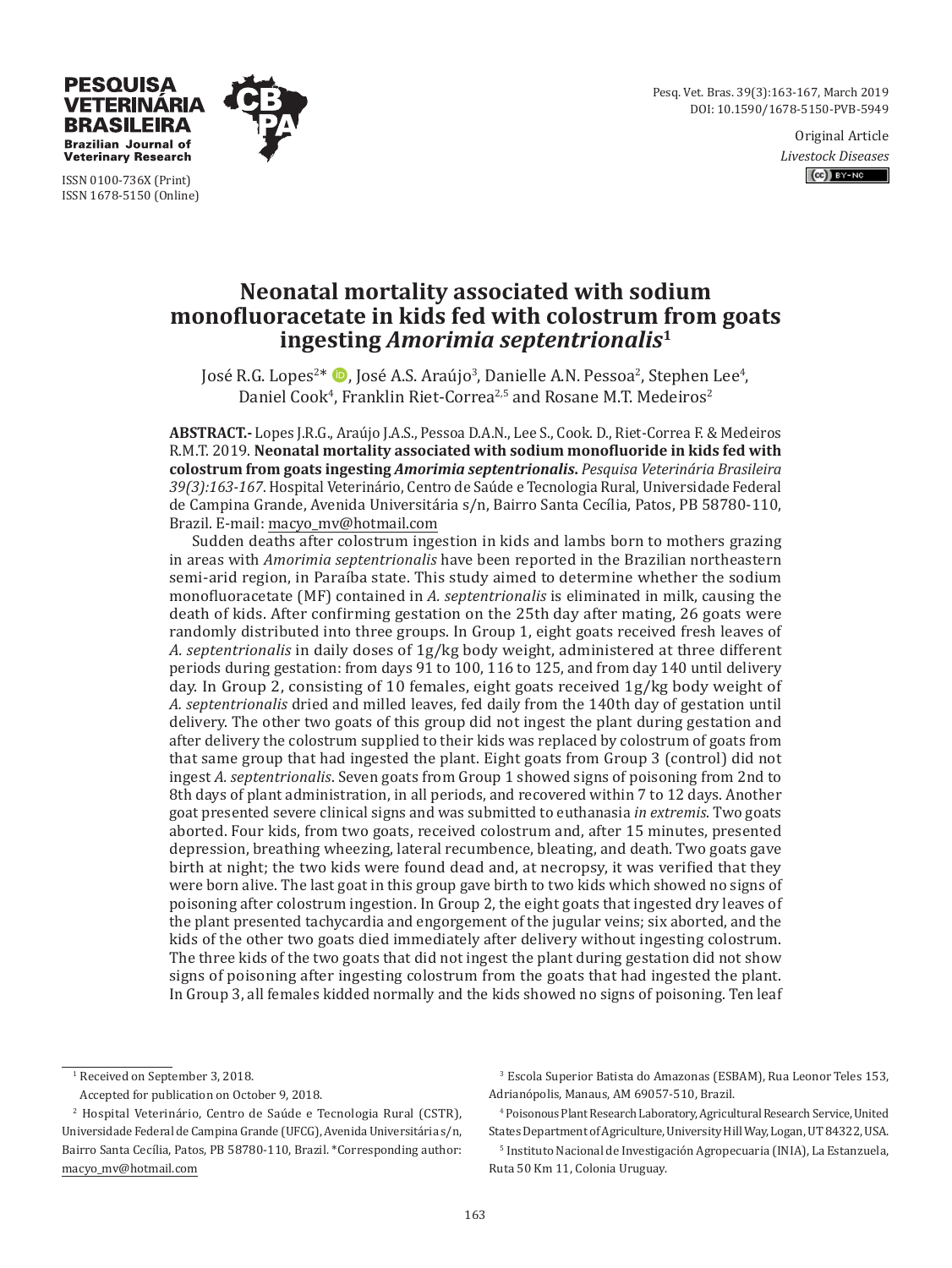Pesq. Vet. Bras. 39(3):163-167, March 2019 DOI: 10.1590/1678-5150-PVB-5949

> Original Article *Livestock Diseases*  $(O<sub>0</sub>)$  BY-NC



ISSN 0100-736X (Print) ISSN 1678-5150 (Online)

**TERINARIA BRASILEIRA Brazilian Journal of Veterinary Research** 

# **Neonatal mortality associated with sodium monofluoracetate in kids fed with colostrum from goats ingesting** *Amorimia septentrionalis***<sup>1</sup>**

José R.G. Lopes<sup>2\*</sup> (D. José A.S. Araújo<sup>3</sup>, Danielle A.N. Pessoa<sup>2</sup>, Stephen Lee<sup>4</sup>, Daniel Cook<sup>4</sup>, Franklin Riet-Correa<sup>2,5</sup> and Rosane M.T. Medeiros<sup>2</sup>

**ABSTRACT.-** Lopes J.R.G., Araújo J.A.S., Pessoa D.A.N., Lee S., Cook. D., Riet-Correa F. & Medeiros R.M.T. 2019. **Neonatal mortality associated with sodium monofluoride in kids fed with colostrum from goats ingesting** *Amorimia septentrionalis***.** *Pesquisa Veterinária Brasileira 39(3):163-167*. Hospital Veterinário, Centro de Saúde e Tecnologia Rural, Universidade Federal de Campina Grande, Avenida Universitária s/n, Bairro Santa Cecília, Patos, PB 58780-110, Brazil. E-mail: macyo\_mv@hotmail.com

Sudden deaths after colostrum ingestion in kids and lambs born to mothers grazing in areas with *Amorimia septentrionalis* have been reported in the Brazilian northeastern semi-arid region, in Paraíba state. This study aimed to determine whether the sodium monofluoracetate (MF) contained in *A. septentrionalis* is eliminated in milk, causing the death of kids. After confirming gestation on the 25th day after mating, 26 goats were randomly distributed into three groups. In Group 1, eight goats received fresh leaves of *A. septentrionalis* in daily doses of 1g/kg body weight, administered at three different periods during gestation: from days 91 to 100, 116 to 125, and from day 140 until delivery day. In Group 2, consisting of 10 females, eight goats received 1g/kg body weight of *A. septentrionalis* dried and milled leaves, fed daily from the 140th day of gestation until delivery. The other two goats of this group did not ingest the plant during gestation and after delivery the colostrum supplied to their kids was replaced by colostrum of goats from that same group that had ingested the plant. Eight goats from Group 3 (control) did not ingest *A. septentrionalis*. Seven goats from Group 1 showed signs of poisoning from 2nd to 8th days of plant administration, in all periods, and recovered within 7 to 12 days. Another goat presented severe clinical signs and was submitted to euthanasia *in extremis*. Two goats aborted. Four kids, from two goats, received colostrum and, after 15 minutes, presented depression, breathing wheezing, lateral recumbence, bleating, and death. Two goats gave birth at night; the two kids were found dead and, at necropsy, it was verified that they were born alive. The last goat in this group gave birth to two kids which showed no signs of poisoning after colostrum ingestion. In Group 2, the eight goats that ingested dry leaves of the plant presented tachycardia and engorgement of the jugular veins; six aborted, and the kids of the other two goats died immediately after delivery without ingesting colostrum. The three kids of the two goats that did not ingest the plant during gestation did not show signs of poisoning after ingesting colostrum from the goats that had ingested the plant. In Group 3, all females kidded normally and the kids showed no signs of poisoning. Ten leaf

1 Received on September 3, 2018.

Accepted for publication on October 9, 2018.

3 Escola Superior Batista do Amazonas (ESBAM), Rua Leonor Teles 153, Adrianópolis, Manaus, AM 69057-510, Brazil.

4 Poisonous Plant Research Laboratory, Agricultural Research Service, United States Department of Agriculture, University Hill Way, Logan, UT 84322, USA.

5 Instituto Nacional de Investigación Agropecuaria (INIA), La Estanzuela, Ruta 50 Km 11, Colonia Uruguay.

<sup>2</sup> Hospital Veterinário, Centro de Saúde e Tecnologia Rural (CSTR), Universidade Federal de Campina Grande (UFCG), Avenida Universitária s/n, Bairro Santa Cecília, Patos, PB 58780-110, Brazil. \*Corresponding author: macyo\_mv@hotmail.com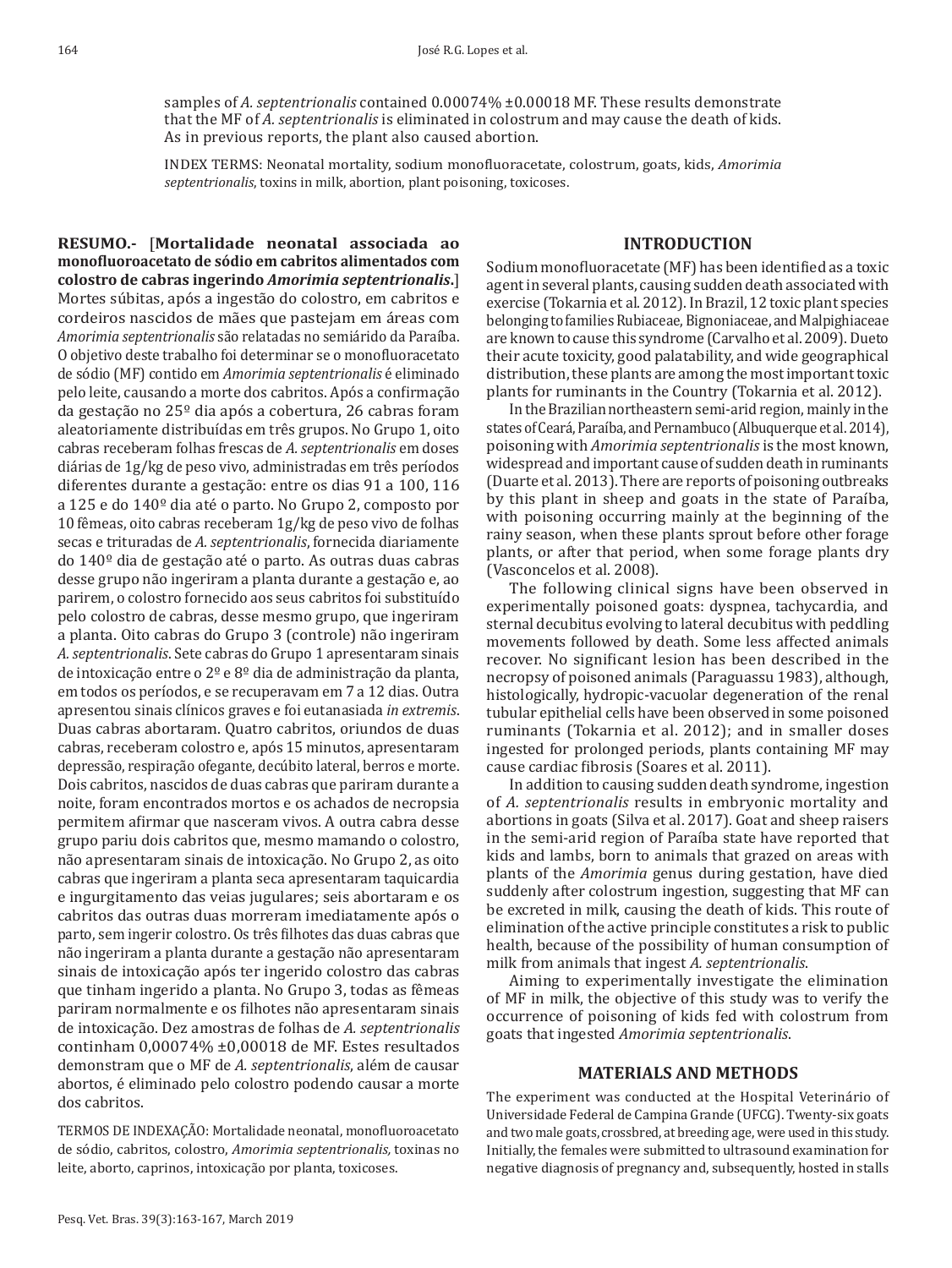samples of *A. septentrionalis* contained 0.00074% ±0.00018 MF. These results demonstrate that the MF of *A. septentrionalis* is eliminated in colostrum and may cause the death of kids. As in previous reports, the plant also caused abortion.

INDEX TERMS: Neonatal mortality, sodium monofluoracetate, colostrum, goats, kids, *Amorimia septentrionalis*, toxins in milk, abortion, plant poisoning, toxicoses.

#### **INTRODUCTION**

**RESUMO.-** [**Mortalidade neonatal associada ao monofluoroacetato de sódio em cabritos alimentados com colostro de cabras ingerindo** *Amorimia septentrionalis***.**] Mortes súbitas, após a ingestão do colostro, em cabritos e cordeiros nascidos de mães que pastejam em áreas com *Amorimia septentrionalis* são relatadas no semiárido da Paraíba. O objetivo deste trabalho foi determinar se o monofluoracetato de sódio (MF) contido em *Amorimia septentrionalis* é eliminado pelo leite, causando a morte dos cabritos. Após a confirmação da gestação no 25º dia após a cobertura, 26 cabras foram aleatoriamente distribuídas em três grupos. No Grupo 1, oito cabras receberam folhas frescas de *A. septentrionalis* em doses diárias de 1g/kg de peso vivo, administradas em três períodos diferentes durante a gestação: entre os dias 91 a 100, 116 a 125 e do 140º dia até o parto. No Grupo 2, composto por 10 fêmeas, oito cabras receberam 1g/kg de peso vivo de folhas secas e trituradas de *A. septentrionalis*, fornecida diariamente do 140º dia de gestação até o parto. As outras duas cabras desse grupo não ingeriram a planta durante a gestação e, ao parirem, o colostro fornecido aos seus cabritos foi substituído pelo colostro de cabras, desse mesmo grupo, que ingeriram a planta. Oito cabras do Grupo 3 (controle) não ingeriram *A. septentrionalis*. Sete cabras do Grupo 1 apresentaram sinais de intoxicação entre o 2º e 8º dia de administração da planta, em todos os períodos, e se recuperavam em 7 a 12 dias. Outra apresentou sinais clínicos graves e foi eutanasiada *in extremis*. Duas cabras abortaram. Quatro cabritos, oriundos de duas cabras, receberam colostro e, após 15 minutos, apresentaram depressão, respiração ofegante, decúbito lateral, berros e morte. Dois cabritos, nascidos de duas cabras que pariram durante a noite, foram encontrados mortos e os achados de necropsia permitem afirmar que nasceram vivos. A outra cabra desse grupo pariu dois cabritos que, mesmo mamando o colostro, não apresentaram sinais de intoxicação. No Grupo 2, as oito cabras que ingeriram a planta seca apresentaram taquicardia e ingurgitamento das veias jugulares; seis abortaram e os cabritos das outras duas morreram imediatamente após o parto, sem ingerir colostro. Os três filhotes das duas cabras que não ingeriram a planta durante a gestação não apresentaram sinais de intoxicação após ter ingerido colostro das cabras que tinham ingerido a planta. No Grupo 3, todas as fêmeas pariram normalmente e os filhotes não apresentaram sinais de intoxicação. Dez amostras de folhas de *A. septentrionalis* continham 0,00074% ±0,00018 de MF. Estes resultados demonstram que o MF de *A. septentrionalis*, além de causar abortos, é eliminado pelo colostro podendo causar a morte dos cabritos.

TERMOS DE INDEXAÇÃO: Mortalidade neonatal, monofluoroacetato de sódio, cabritos, colostro, *Amorimia septentrionalis,* toxinas no leite, aborto, caprinos, intoxicação por planta, toxicoses.

Sodium monofluoracetate (MF) has been identified as a toxic agent in several plants, causing sudden death associated with exercise (Tokarnia et al. 2012). In Brazil, 12 toxic plant species belonging to families Rubiaceae, Bignoniaceae, and Malpighiaceae are known to cause this syndrome (Carvalho et al. 2009). Dueto their acute toxicity, good palatability, and wide geographical distribution, these plants are among the most important toxic plants for ruminants in the Country (Tokarnia et al. 2012).

In the Brazilian northeastern semi-arid region, mainly in the states of Ceará, Paraíba, and Pernambuco (Albuquerque et al.2014), poisoning with *Amorimia septentrionalis* is the most known, widespread and important cause of sudden death in ruminants (Duarte et al. 2013). There are reports of poisoning outbreaks by this plant in sheep and goats in the state of Paraíba, with poisoning occurring mainly at the beginning of the rainy season, when these plants sprout before other forage plants, or after that period, when some forage plants dry (Vasconcelos et al. 2008).

The following clinical signs have been observed in experimentally poisoned goats: dyspnea, tachycardia, and sternal decubitus evolving to lateral decubitus with peddling movements followed by death. Some less affected animals recover. No significant lesion has been described in the necropsy of poisoned animals (Paraguassu 1983), although, histologically, hydropic-vacuolar degeneration of the renal tubular epithelial cells have been observed in some poisoned ruminants (Tokarnia et al. 2012); and in smaller doses ingested for prolonged periods, plants containing MF may cause cardiac fibrosis (Soares et al. 2011).

In addition to causing sudden death syndrome, ingestion of *A. septentrionalis* results in embryonic mortality and abortions in goats (Silva et al. 2017). Goat and sheep raisers in the semi-arid region of Paraíba state have reported that kids and lambs, born to animals that grazed on areas with plants of the *Amorimia* genus during gestation, have died suddenly after colostrum ingestion, suggesting that MF can be excreted in milk, causing the death of kids. This route of elimination of the active principle constitutes a risk to public health, because of the possibility of human consumption of milk from animals that ingest *A. septentrionalis*.

Aiming to experimentally investigate the elimination of MF in milk, the objective of this study was to verify the occurrence of poisoning of kids fed with colostrum from goats that ingested *Amorimia septentrionalis*.

#### **MATERIALS AND METHODS**

The experiment was conducted at the Hospital Veterinário of Universidade Federal de Campina Grande (UFCG). Twenty-six goats and two male goats, crossbred, at breeding age, were used in this study. Initially, the females were submitted to ultrasound examination for negative diagnosis of pregnancy and, subsequently, hosted in stalls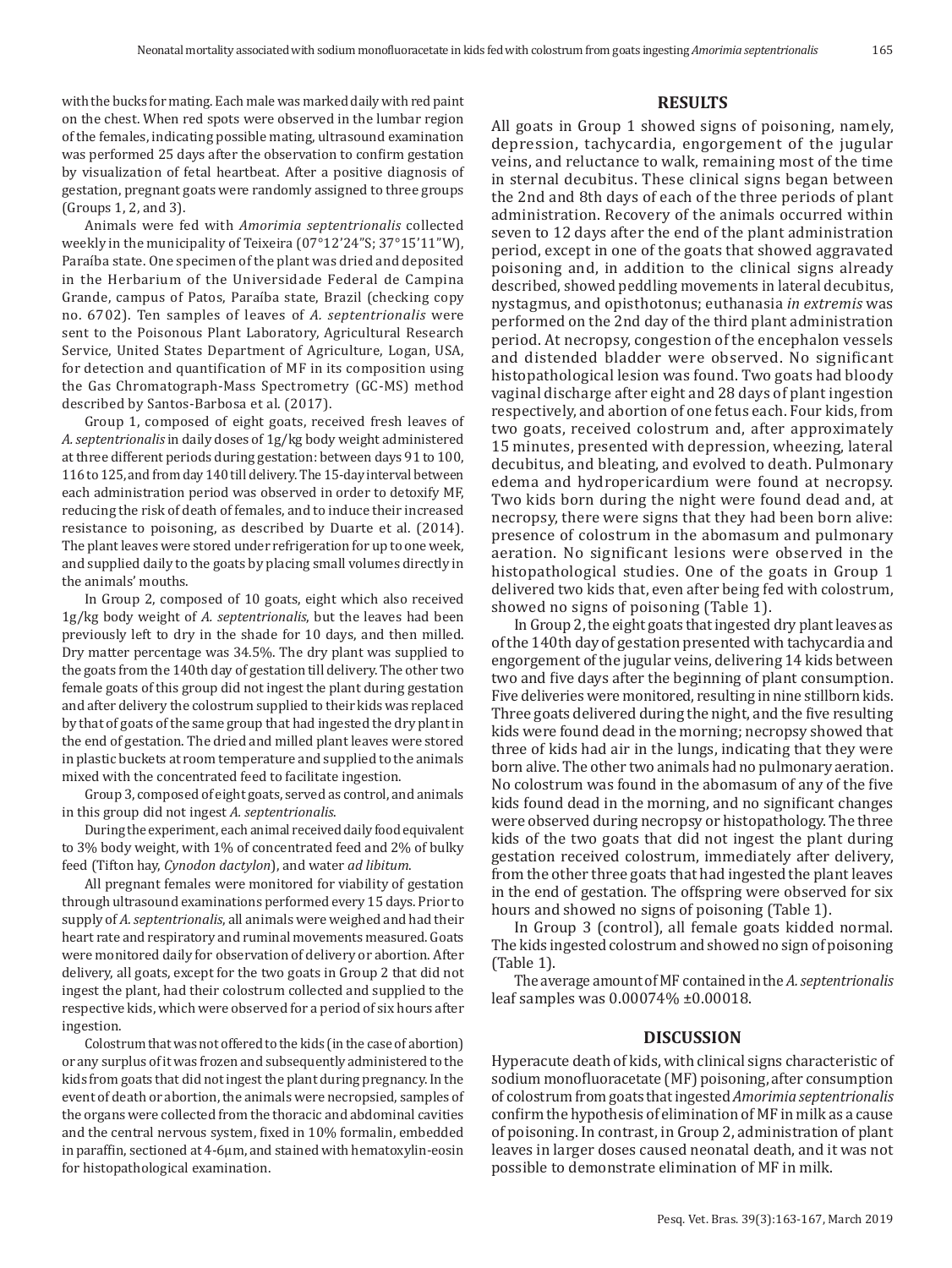Animals were fed with *Amorimia septentrionalis* collected weekly in the municipality of Teixeira (07°12'24"S; 37°15'11"W), Paraíba state. One specimen of the plant was dried and deposited in the Herbarium of the Universidade Federal de Campina Grande, campus of Patos, Paraíba state, Brazil (checking copy no. 6702). Ten samples of leaves of *A. septentrionalis* were sent to the Poisonous Plant Laboratory, Agricultural Research Service, United States Department of Agriculture, Logan, USA, for detection and quantification of MF in its composition using the Gas Chromatograph-Mass Spectrometry (GC-MS) method described by Santos-Barbosa et al. (2017).

Group 1, composed of eight goats, received fresh leaves of *A.septentrionalis* in daily doses of 1g/kg body weight administered at three different periods during gestation: between days 91 to 100, 116 to 125, and from day 140 till delivery. The 15-day interval between each administration period was observed in order to detoxify MF, reducing the risk of death of females, and to induce their increased resistance to poisoning, as described by Duarte et al. (2014). The plant leaves were stored under refrigeration for up to one week, and supplied daily to the goats by placing small volumes directly in the animals' mouths.

In Group 2, composed of 10 goats, eight which also received 1g/kg body weight of *A. septentrionalis*, but the leaves had been previously left to dry in the shade for 10 days, and then milled. Dry matter percentage was 34.5%. The dry plant was supplied to the goats from the 140th day of gestation till delivery. The other two female goats of this group did not ingest the plant during gestation and after delivery the colostrum supplied to their kids was replaced by that of goats of the same group that had ingested the dry plant in the end of gestation. The dried and milled plant leaves were stored in plastic buckets at room temperature and supplied to the animals mixed with the concentrated feed to facilitate ingestion.

Group 3, composed of eight goats, served as control, and animals in this group did not ingest *A. septentrionalis*.

During the experiment, each animal received daily food equivalent to 3% body weight, with 1% of concentrated feed and 2% of bulky feed (Tifton hay, *Cynodon dactylon*), and water *ad libitum*.

All pregnant females were monitored for viability of gestation through ultrasound examinations performed every 15 days. Prior to supply of *A. septentrionalis*, all animals were weighed and had their heart rate and respiratory and ruminal movements measured. Goats were monitored daily for observation of delivery or abortion. After delivery, all goats, except for the two goats in Group 2 that did not ingest the plant, had their colostrum collected and supplied to the respective kids, which were observed for a period of six hours after ingestion.

Colostrum that was not offered to the kids (in the case of abortion) or any surplus of it was frozen and subsequently administered to the kids from goats that did not ingest the plant during pregnancy. In the event of death or abortion, the animals were necropsied, samples of the organs were collected from the thoracic and abdominal cavities and the central nervous system, fixed in 10% formalin, embedded in paraffin, sectioned at 4-6µm, and stained with hematoxylin-eosin for histopathological examination.

#### **RESULTS**

All goats in Group 1 showed signs of poisoning, namely, depression, tachycardia, engorgement of the jugular veins, and reluctance to walk, remaining most of the time in sternal decubitus. These clinical signs began between the 2nd and 8th days of each of the three periods of plant administration. Recovery of the animals occurred within seven to 12 days after the end of the plant administration period, except in one of the goats that showed aggravated poisoning and, in addition to the clinical signs already described, showed peddling movements in lateral decubitus, nystagmus, and opisthotonus; euthanasia *in extremis* was performed on the 2nd day of the third plant administration period. At necropsy, congestion of the encephalon vessels and distended bladder were observed. No significant histopathological lesion was found. Two goats had bloody vaginal discharge after eight and 28 days of plant ingestion respectively, and abortion of one fetus each. Four kids, from two goats, received colostrum and, after approximately 15 minutes, presented with depression, wheezing, lateral decubitus, and bleating, and evolved to death. Pulmonary edema and hydropericardium were found at necropsy. Two kids born during the night were found dead and, at necropsy, there were signs that they had been born alive: presence of colostrum in the abomasum and pulmonary aeration. No significant lesions were observed in the histopathological studies. One of the goats in Group 1 delivered two kids that, even after being fed with colostrum, showed no signs of poisoning (Table 1).

In Group 2, the eight goats that ingested dry plant leaves as of the 140th day of gestation presented with tachycardia and engorgement of the jugular veins, delivering 14 kids between two and five days after the beginning of plant consumption. Five deliveries were monitored, resulting in nine stillborn kids. Three goats delivered during the night, and the five resulting kids were found dead in the morning; necropsy showed that three of kids had air in the lungs, indicating that they were born alive. The other two animals had no pulmonary aeration. No colostrum was found in the abomasum of any of the five kids found dead in the morning, and no significant changes were observed during necropsy or histopathology. The three kids of the two goats that did not ingest the plant during gestation received colostrum, immediately after delivery, from the other three goats that had ingested the plant leaves in the end of gestation. The offspring were observed for six hours and showed no signs of poisoning (Table 1).

In Group 3 (control), all female goats kidded normal. The kids ingested colostrum and showed no sign of poisoning (Table 1).

The average amount of MF contained in the *A. septentrionalis* leaf samples was 0.00074% ±0.00018.

#### **DISCUSSION**

Hyperacute death of kids, with clinical signs characteristic of sodium monofluoracetate (MF) poisoning, after consumption of colostrum from goats that ingested *Amorimia septentrionalis* confirm the hypothesis of elimination of MF in milk as a cause of poisoning. In contrast, in Group 2, administration of plant leaves in larger doses caused neonatal death, and it was not possible to demonstrate elimination of MF in milk.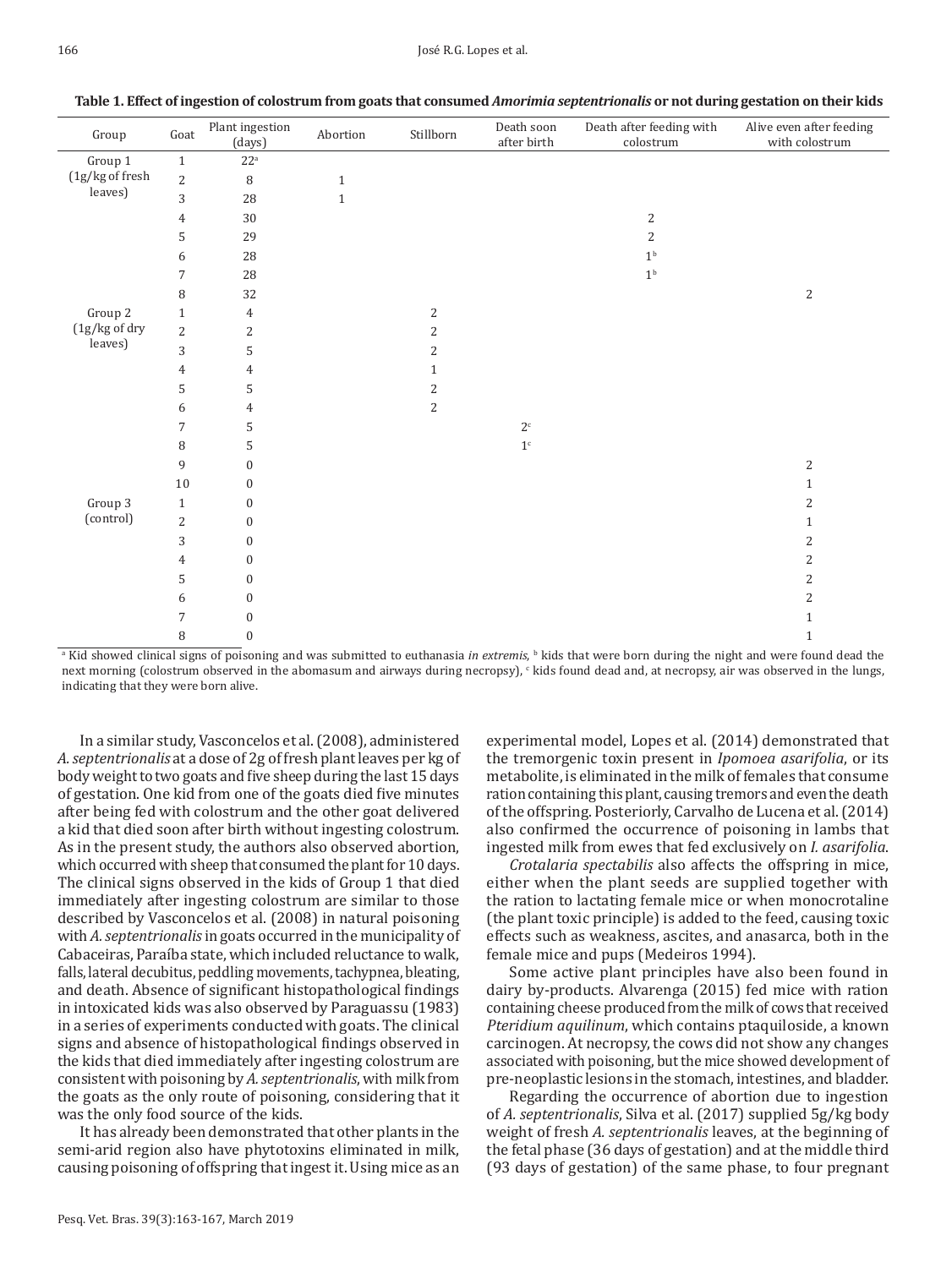| Group                      | $\operatorname{Goat}$ | Plant ingestion<br>(days) | Abortion     | Stillborn               | Death soon<br>after birth | Death after feeding with<br>colorum | Alive even after feeding<br>with colostrum |
|----------------------------|-----------------------|---------------------------|--------------|-------------------------|---------------------------|-------------------------------------|--------------------------------------------|
| Group 1                    | $\mathbf{1}$          | $22^a$                    |              |                         |                           |                                     |                                            |
| (1g/kg of fresh<br>leaves) | $\overline{c}$        | $\, 8$                    | $\mathbf{1}$ |                         |                           |                                     |                                            |
|                            | 3                     | 28                        | $\,1\,$      |                         |                           |                                     |                                            |
|                            | $\overline{4}$        | 30                        |              |                         |                           | $\overline{c}$                      |                                            |
|                            | 5                     | 29                        |              |                         |                           | 2                                   |                                            |
|                            | 6                     | 28                        |              |                         |                           | $1^{\rm b}$                         |                                            |
|                            | $\overline{7}$        | 28                        |              |                         |                           | 1 <sup>b</sup>                      |                                            |
|                            | 8                     | 32                        |              |                         |                           |                                     | $\sqrt{2}$                                 |
| Group 2                    | $\mathbf{1}$          | $\overline{4}$            |              | $\mathbf{2}$            |                           |                                     |                                            |
| (1g/kg of dry<br>leaves)   | $\overline{2}$        | $\overline{2}$            |              | $\overline{\mathbf{c}}$ |                           |                                     |                                            |
|                            | 3                     | 5                         |              | 2                       |                           |                                     |                                            |
|                            | $\overline{4}$        | $\overline{4}$            |              | $\mathbf{1}$            |                           |                                     |                                            |
|                            | 5                     | $\mathsf S$               |              | $\overline{\mathbf{c}}$ |                           |                                     |                                            |
|                            | 6                     | $\overline{4}$            |              | 2                       |                           |                                     |                                            |
|                            | $\overline{7}$        | 5                         |              |                         | $2^{\mathsf{c}}$          |                                     |                                            |
|                            | 8                     | $\mathsf S$               |              |                         | $1^{\circ}$               |                                     |                                            |
|                            | 9                     | $\boldsymbol{0}$          |              |                         |                           |                                     | $\sqrt{2}$                                 |
|                            | $10\,$                | $\boldsymbol{0}$          |              |                         |                           |                                     | $1\,$                                      |
| Group 3                    | $\mathbf{1}$          | $\boldsymbol{0}$          |              |                         |                           |                                     | $\overline{2}$                             |
| (control)                  | $\overline{2}$        | $\mathbf{0}$              |              |                         |                           |                                     | $1\,$                                      |
|                            | 3                     | $\boldsymbol{0}$          |              |                         |                           |                                     | $\sqrt{2}$                                 |
|                            | $\overline{4}$        | $\boldsymbol{0}$          |              |                         |                           |                                     | $\sqrt{2}$                                 |
|                            | 5                     | $\boldsymbol{0}$          |              |                         |                           |                                     | $\sqrt{2}$                                 |
|                            | 6                     | $\boldsymbol{0}$          |              |                         |                           |                                     | $\sqrt{2}$                                 |
|                            | 7                     | $\boldsymbol{0}$          |              |                         |                           |                                     | $\mathbf{1}$                               |
|                            | 8                     | $\boldsymbol{0}$          |              |                         |                           |                                     | $\mathbf{1}$                               |

**Table 1. Effect of ingestion of colostrum from goats that consumed** *Amorimia septentrionalis* **or not during gestation on their kids**

<sup>a</sup> Kid showed clinical signs of poisoning and was submitted to euthanasia *in extremis,* b kids that were born during the night and were found dead the next morning (colostrum observed in the abomasum and airways during necropsy),  $\cdot$  kids found dead and, at necropsy, air was observed in the lungs, indicating that they were born alive.

In a similar study, Vasconcelos et al. (2008), administered *A. septentrionalis* at a dose of 2g of fresh plant leaves per kg of body weight to two goats and five sheep during the last 15 days of gestation. One kid from one of the goats died five minutes after being fed with colostrum and the other goat delivered a kid that died soon after birth without ingesting colostrum. As in the present study, the authors also observed abortion, which occurred with sheep that consumed the plant for 10 days. The clinical signs observed in the kids of Group 1 that died immediately after ingesting colostrum are similar to those described by Vasconcelos et al. (2008) in natural poisoning with *A. septentrionalis* in goats occurred in the municipality of Cabaceiras, Paraíba state, which included reluctance to walk, falls, lateral decubitus, peddling movements, tachypnea, bleating, and death. Absence of significant histopathological findings in intoxicated kids was also observed by Paraguassu (1983) in a series of experiments conducted with goats. The clinical signs and absence of histopathological findings observed in the kids that died immediately after ingesting colostrum are consistent with poisoning by *A. septentrionalis*, with milk from the goats as the only route of poisoning, considering that it was the only food source of the kids.

It has already been demonstrated that other plants in the semi-arid region also have phytotoxins eliminated in milk, causing poisoning of offspring that ingest it. Using mice as an

experimental model, Lopes et al. (2014) demonstrated that the tremorgenic toxin present in *Ipomoea asarifolia*, or its metabolite, is eliminated in the milk of females that consume ration containing this plant, causing tremors and even the death of the offspring. Posteriorly, Carvalho de Lucena et al.(2014) also confirmed the occurrence of poisoning in lambs that ingested milk from ewes that fed exclusively on *I. asarifolia*.

*Crotalaria spectabilis* also affects the offspring in mice, either when the plant seeds are supplied together with the ration to lactating female mice or when monocrotaline (the plant toxic principle) is added to the feed, causing toxic effects such as weakness, ascites, and anasarca, both in the female mice and pups (Medeiros 1994).

Some active plant principles have also been found in dairy by-products. Alvarenga (2015) fed mice with ration containing cheese produced from the milk of cows that received *Pteridium aquilinum*, which contains ptaquiloside, a known carcinogen. At necropsy, the cows did not show any changes associated with poisoning, but the mice showed development of pre-neoplastic lesions in the stomach, intestines, and bladder.

Regarding the occurrence of abortion due to ingestion of *A. septentrionalis*, Silva et al. (2017) supplied 5g/kg body weight of fresh *A. septentrionalis* leaves, at the beginning of the fetal phase (36 days of gestation) and at the middle third (93 days of gestation) of the same phase, to four pregnant